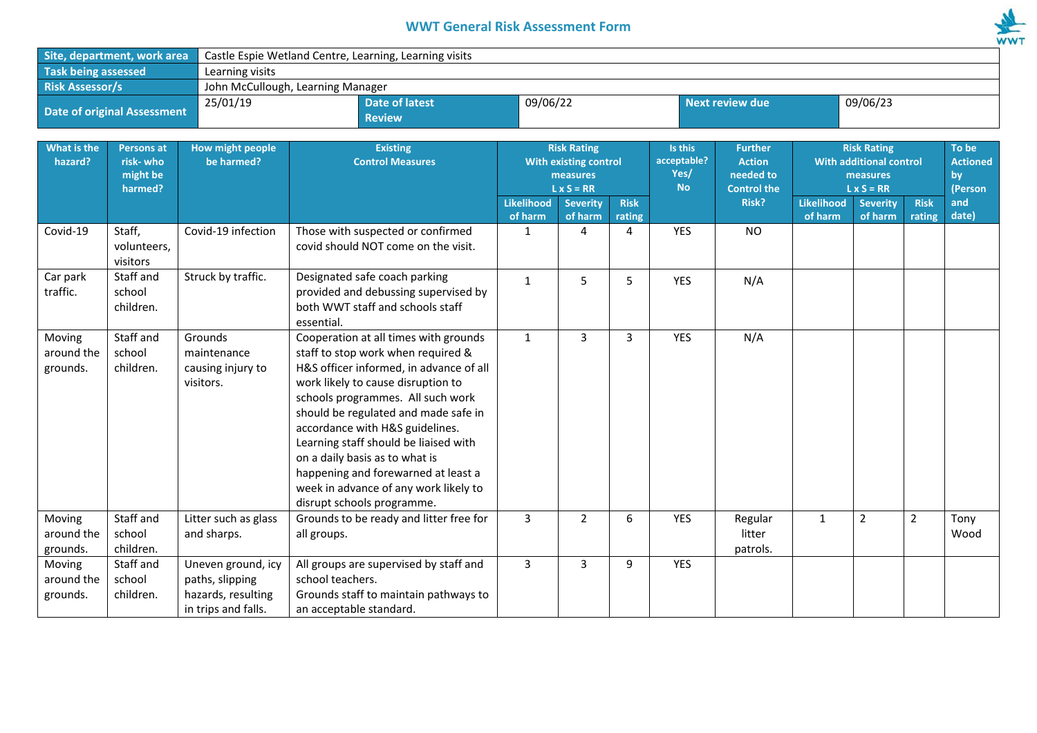## **WWT General Risk Assessment Form**



| Site, department, work area | Castle Espie Wetland Centre, Learning, Learning visits |                                   |          |                 |          |  |  |  |  |
|-----------------------------|--------------------------------------------------------|-----------------------------------|----------|-----------------|----------|--|--|--|--|
| <b>Task being assessed</b>  | Learning visits                                        |                                   |          |                 |          |  |  |  |  |
| <b>Risk Assessor/s</b>      |                                                        | John McCullough, Learning Manager |          |                 |          |  |  |  |  |
| Date of original Assessment | 25/01/19                                               | Date of latest<br><b>Review</b>   | 09/06/22 | Next review due | 09/06/23 |  |  |  |  |

| What is the<br>hazard?           | <b>Persons at</b><br>risk-who<br>might be<br>harmed? | <b>How might people</b><br>be harmed?                                              | <b>Existing</b><br><b>Control Measures</b>                                                                                                                                                                                                                                                                                                                                                                                                                            | <b>Risk Rating</b><br>With existing control<br>measures<br>$L \times S = RR$ |                            | acceptable?           |            |                               |                              | <b>Further</b><br><b>Action</b><br>needed to<br><b>Control the</b> |                       | <b>Risk Rating</b><br><b>With additional control</b><br>measures<br>$L \times S = RR$ |  | To be<br><b>Actioned</b><br>by<br>(Person |
|----------------------------------|------------------------------------------------------|------------------------------------------------------------------------------------|-----------------------------------------------------------------------------------------------------------------------------------------------------------------------------------------------------------------------------------------------------------------------------------------------------------------------------------------------------------------------------------------------------------------------------------------------------------------------|------------------------------------------------------------------------------|----------------------------|-----------------------|------------|-------------------------------|------------------------------|--------------------------------------------------------------------|-----------------------|---------------------------------------------------------------------------------------|--|-------------------------------------------|
|                                  |                                                      |                                                                                    |                                                                                                                                                                                                                                                                                                                                                                                                                                                                       | Likelihood<br>of harm                                                        | <b>Severity</b><br>of harm | <b>Risk</b><br>rating |            | Risk?                         | <b>Likelihood</b><br>of harm | <b>Severity</b><br>of harm                                         | <b>Risk</b><br>rating | and<br>date)                                                                          |  |                                           |
| Covid-19                         | Staff,<br>volunteers,<br>visitors                    | Covid-19 infection                                                                 | Those with suspected or confirmed<br>covid should NOT come on the visit.                                                                                                                                                                                                                                                                                                                                                                                              | 1                                                                            | 4                          | 4                     | YES        | <b>NO</b>                     |                              |                                                                    |                       |                                                                                       |  |                                           |
| Car park<br>traffic.             | Staff and<br>school<br>children.                     | Struck by traffic.                                                                 | Designated safe coach parking<br>provided and debussing supervised by<br>both WWT staff and schools staff<br>essential.                                                                                                                                                                                                                                                                                                                                               | $\mathbf{1}$                                                                 | 5                          | 5                     | YES        | N/A                           |                              |                                                                    |                       |                                                                                       |  |                                           |
| Moving<br>around the<br>grounds. | Staff and<br>school<br>children.                     | Grounds<br>maintenance<br>causing injury to<br>visitors.                           | Cooperation at all times with grounds<br>staff to stop work when required &<br>H&S officer informed, in advance of all<br>work likely to cause disruption to<br>schools programmes. All such work<br>should be regulated and made safe in<br>accordance with H&S guidelines.<br>Learning staff should be liaised with<br>on a daily basis as to what is<br>happening and forewarned at least a<br>week in advance of any work likely to<br>disrupt schools programme. | $\mathbf{1}$                                                                 | $\overline{3}$             | 3                     | <b>YES</b> | N/A                           |                              |                                                                    |                       |                                                                                       |  |                                           |
| Moving<br>around the<br>grounds. | Staff and<br>school<br>children.                     | Litter such as glass<br>and sharps.                                                | Grounds to be ready and litter free for<br>all groups.                                                                                                                                                                                                                                                                                                                                                                                                                | $\overline{3}$                                                               | $\overline{2}$             | 6                     | <b>YES</b> | Regular<br>litter<br>patrols. | $\mathbf{1}$                 | $\overline{2}$                                                     | $\overline{2}$        | Tony<br>Wood                                                                          |  |                                           |
| Moving<br>around the<br>grounds. | Staff and<br>school<br>children.                     | Uneven ground, icy<br>paths, slipping<br>hazards, resulting<br>in trips and falls. | All groups are supervised by staff and<br>school teachers.<br>Grounds staff to maintain pathways to<br>an acceptable standard.                                                                                                                                                                                                                                                                                                                                        | 3                                                                            | 3                          | 9                     | <b>YES</b> |                               |                              |                                                                    |                       |                                                                                       |  |                                           |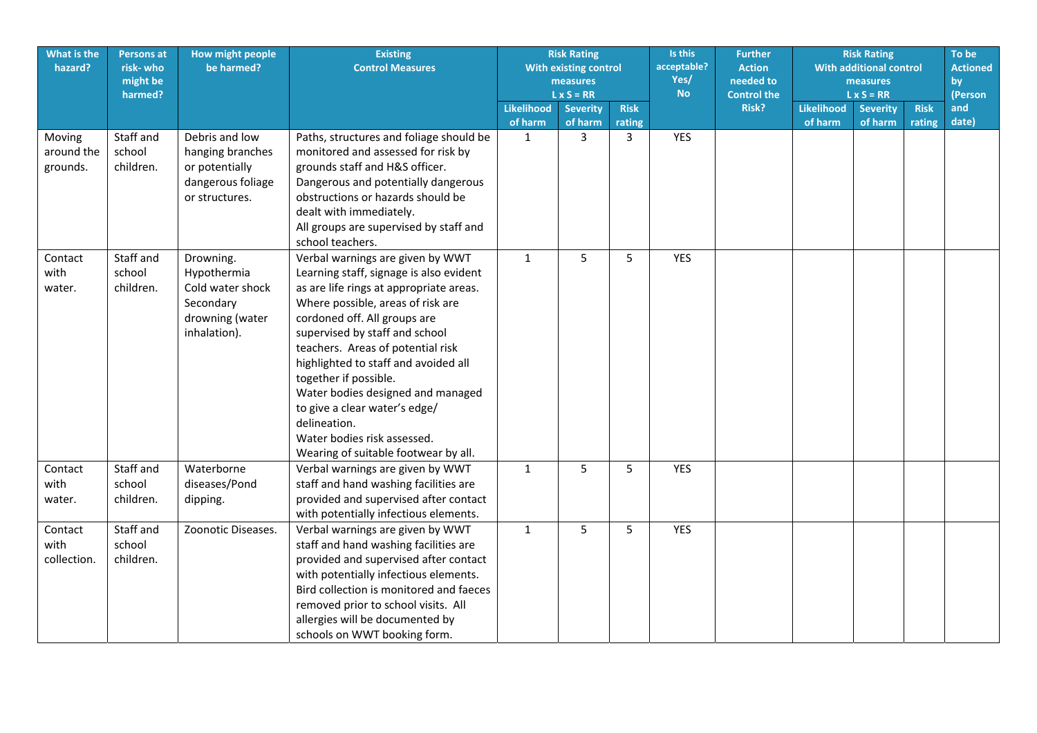| What is the<br>hazard?         | <b>Persons at</b><br>risk-who<br>might be<br>harmed? | How might people<br>be harmed?                                                               | <b>Existing</b><br><b>Control Measures</b>                                                                                                                                                                                                                                                                                                                                                                                                                                                       |                   | <b>Risk Rating</b><br>Is this<br>acceptable?<br><b>With existing control</b><br>Yes/<br>measures<br><b>No</b><br>$L \times S = RR$ |             | <b>Risk Rating</b><br><b>Further</b><br><b>With additional control</b><br><b>Action</b><br>needed to<br>measures<br><b>Control the</b><br>$L \times S = RR$ |       |                   |                 | To be<br><b>Actioned</b><br>by<br>(Person |              |
|--------------------------------|------------------------------------------------------|----------------------------------------------------------------------------------------------|--------------------------------------------------------------------------------------------------------------------------------------------------------------------------------------------------------------------------------------------------------------------------------------------------------------------------------------------------------------------------------------------------------------------------------------------------------------------------------------------------|-------------------|------------------------------------------------------------------------------------------------------------------------------------|-------------|-------------------------------------------------------------------------------------------------------------------------------------------------------------|-------|-------------------|-----------------|-------------------------------------------|--------------|
|                                |                                                      |                                                                                              |                                                                                                                                                                                                                                                                                                                                                                                                                                                                                                  | <b>Likelihood</b> | <b>Severity</b>                                                                                                                    | <b>Risk</b> |                                                                                                                                                             | Risk? | <b>Likelihood</b> | <b>Severity</b> | <b>Risk</b>                               | and<br>date) |
| Moving                         | Staff and                                            | Debris and low                                                                               | Paths, structures and foliage should be                                                                                                                                                                                                                                                                                                                                                                                                                                                          | of harm<br>1      | of harm<br>3                                                                                                                       | rating<br>3 | <b>YES</b>                                                                                                                                                  |       | of harm           | of harm         | rating                                    |              |
| around the<br>grounds.         | school<br>children.                                  | hanging branches<br>or potentially<br>dangerous foliage<br>or structures.                    | monitored and assessed for risk by<br>grounds staff and H&S officer.<br>Dangerous and potentially dangerous<br>obstructions or hazards should be<br>dealt with immediately.<br>All groups are supervised by staff and<br>school teachers.                                                                                                                                                                                                                                                        |                   |                                                                                                                                    |             |                                                                                                                                                             |       |                   |                 |                                           |              |
| Contact<br>with<br>water.      | Staff and<br>school<br>children.                     | Drowning.<br>Hypothermia<br>Cold water shock<br>Secondary<br>drowning (water<br>inhalation). | Verbal warnings are given by WWT<br>Learning staff, signage is also evident<br>as are life rings at appropriate areas.<br>Where possible, areas of risk are<br>cordoned off. All groups are<br>supervised by staff and school<br>teachers. Areas of potential risk<br>highlighted to staff and avoided all<br>together if possible.<br>Water bodies designed and managed<br>to give a clear water's edge/<br>delineation.<br>Water bodies risk assessed.<br>Wearing of suitable footwear by all. | $\mathbf{1}$      | 5                                                                                                                                  | 5           | <b>YES</b>                                                                                                                                                  |       |                   |                 |                                           |              |
| Contact<br>with<br>water.      | Staff and<br>school<br>children.                     | Waterborne<br>diseases/Pond<br>dipping.                                                      | Verbal warnings are given by WWT<br>staff and hand washing facilities are<br>provided and supervised after contact<br>with potentially infectious elements.                                                                                                                                                                                                                                                                                                                                      | $\mathbf{1}$      | 5                                                                                                                                  | 5           | <b>YES</b>                                                                                                                                                  |       |                   |                 |                                           |              |
| Contact<br>with<br>collection. | Staff and<br>school<br>children.                     | Zoonotic Diseases.                                                                           | Verbal warnings are given by WWT<br>staff and hand washing facilities are<br>provided and supervised after contact<br>with potentially infectious elements.<br>Bird collection is monitored and faeces<br>removed prior to school visits. All<br>allergies will be documented by<br>schools on WWT booking form.                                                                                                                                                                                 | $\mathbf{1}$      | 5                                                                                                                                  | 5           | <b>YES</b>                                                                                                                                                  |       |                   |                 |                                           |              |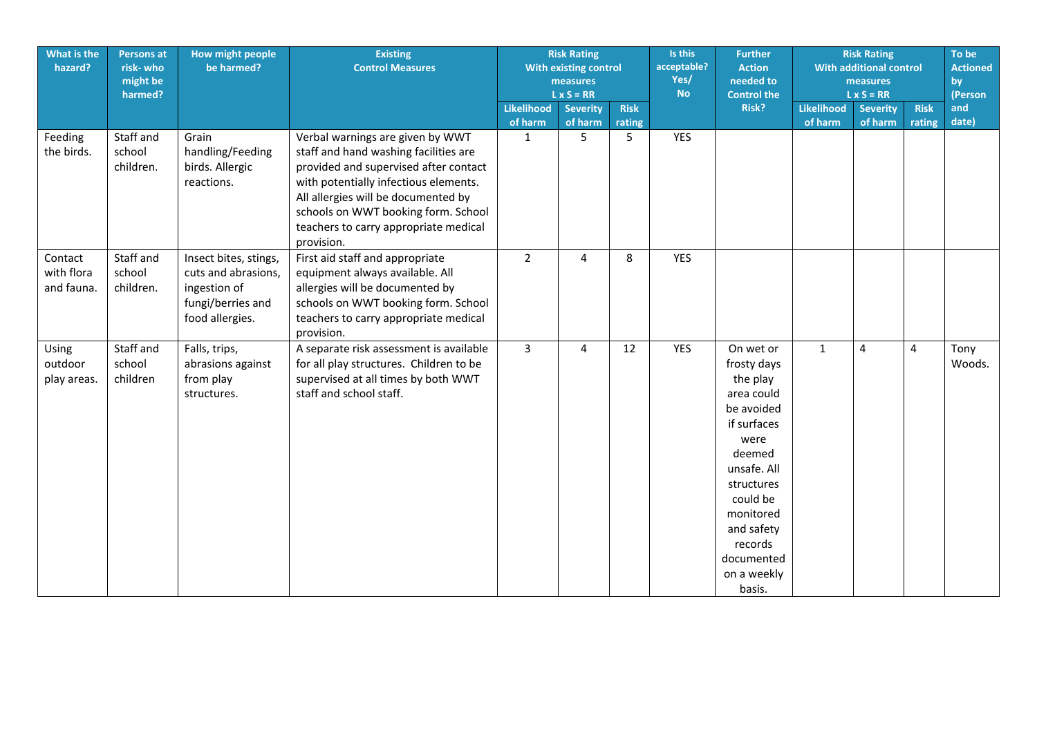| What is the<br>hazard?              | <b>Persons at</b><br>risk-who<br>might be<br>harmed? | How might people<br>be harmed?                                                                       | <b>Existing</b><br><b>Control Measures</b>                                                                                                                                                                                                                                                       | <b>Risk Rating</b><br>With existing control<br>measures |                            | Is this<br>Yes/<br><b>No</b><br>$L \times S = RR$ |            | <b>Further</b><br>acceptable?<br><b>Action</b><br>needed to<br><b>Control the</b>                                                                                                                                       |                              | <b>Risk Rating</b><br><b>With additional control</b><br>measures<br>$L \times S = RR$ |                       |                |
|-------------------------------------|------------------------------------------------------|------------------------------------------------------------------------------------------------------|--------------------------------------------------------------------------------------------------------------------------------------------------------------------------------------------------------------------------------------------------------------------------------------------------|---------------------------------------------------------|----------------------------|---------------------------------------------------|------------|-------------------------------------------------------------------------------------------------------------------------------------------------------------------------------------------------------------------------|------------------------------|---------------------------------------------------------------------------------------|-----------------------|----------------|
|                                     |                                                      |                                                                                                      |                                                                                                                                                                                                                                                                                                  | <b>Likelihood</b><br>of harm                            | <b>Severity</b><br>of harm | <b>Risk</b><br>rating                             |            | Risk?                                                                                                                                                                                                                   | <b>Likelihood</b><br>of harm | <b>Severity</b><br>of harm                                                            | <b>Risk</b><br>rating | and<br>date)   |
| Feeding<br>the birds.               | Staff and<br>school<br>children.                     | Grain<br>handling/Feeding<br>birds. Allergic<br>reactions.                                           | Verbal warnings are given by WWT<br>staff and hand washing facilities are<br>provided and supervised after contact<br>with potentially infectious elements.<br>All allergies will be documented by<br>schools on WWT booking form. School<br>teachers to carry appropriate medical<br>provision. | $\mathbf{1}$                                            | 5                          | 5                                                 | <b>YES</b> |                                                                                                                                                                                                                         |                              |                                                                                       |                       |                |
| Contact<br>with flora<br>and fauna. | Staff and<br>school<br>children.                     | Insect bites, stings,<br>cuts and abrasions,<br>ingestion of<br>fungi/berries and<br>food allergies. | First aid staff and appropriate<br>equipment always available. All<br>allergies will be documented by<br>schools on WWT booking form. School<br>teachers to carry appropriate medical<br>provision.                                                                                              | $2^{\circ}$                                             | $\overline{4}$             | 8                                                 | <b>YES</b> |                                                                                                                                                                                                                         |                              |                                                                                       |                       |                |
| Using<br>outdoor<br>play areas.     | Staff and<br>school<br>children                      | Falls, trips,<br>abrasions against<br>from play<br>structures.                                       | A separate risk assessment is available<br>for all play structures. Children to be<br>supervised at all times by both WWT<br>staff and school staff.                                                                                                                                             | $\mathbf{3}$                                            | 4                          | 12                                                | <b>YES</b> | On wet or<br>frosty days<br>the play<br>area could<br>be avoided<br>if surfaces<br>were<br>deemed<br>unsafe. All<br>structures<br>could be<br>monitored<br>and safety<br>records<br>documented<br>on a weekly<br>basis. | $\mathbf{1}$                 | 4                                                                                     | 4                     | Tony<br>Woods. |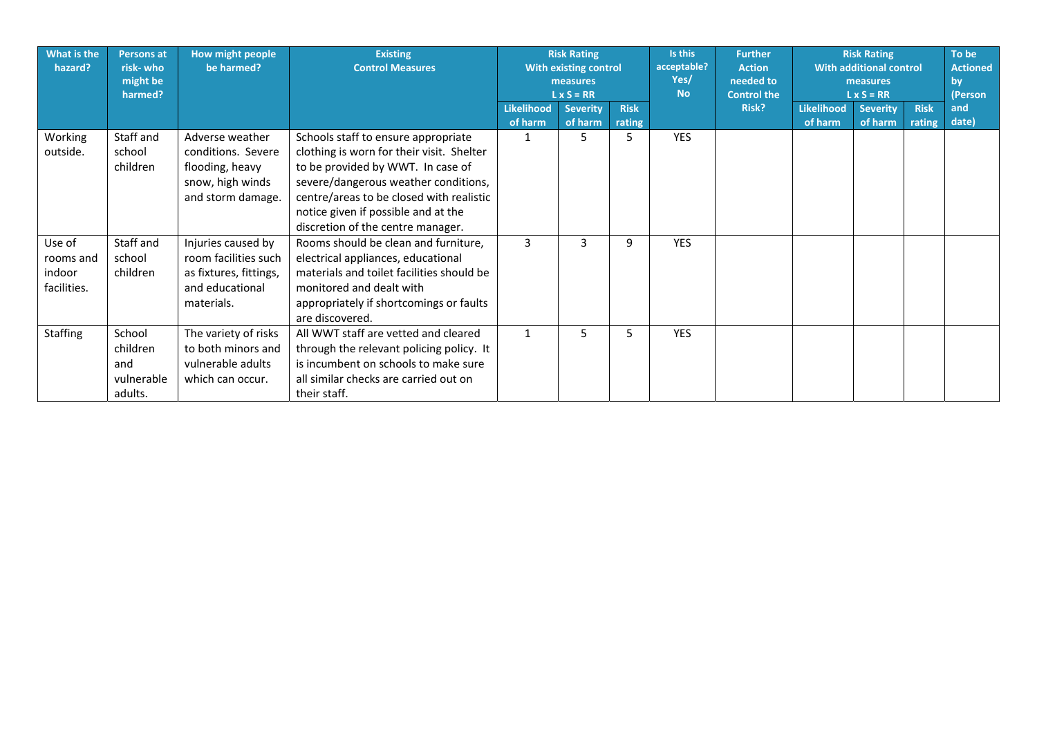| What is the<br>hazard?                       | <b>Persons at</b><br>risk-who<br>might be<br>harmed? | How might people<br>be harmed?                                                                        | <b>Existing</b><br><b>Control Measures</b>                                                                                                                                                                                                                                            | <b>Risk Rating</b><br>With existing control<br>measures<br>$L \times S = RR$ |                            | Is this<br>acceptable?<br>Yes/<br><b>No</b> | <b>Further</b><br><b>Action</b><br>needed to<br><b>Control the</b> | <b>Risk Rating</b><br><b>With additional control</b><br>measures<br>$L \times S = RR$ |                              |                            | To be<br><b>Actioned</b><br>by<br>(Person |              |
|----------------------------------------------|------------------------------------------------------|-------------------------------------------------------------------------------------------------------|---------------------------------------------------------------------------------------------------------------------------------------------------------------------------------------------------------------------------------------------------------------------------------------|------------------------------------------------------------------------------|----------------------------|---------------------------------------------|--------------------------------------------------------------------|---------------------------------------------------------------------------------------|------------------------------|----------------------------|-------------------------------------------|--------------|
|                                              |                                                      |                                                                                                       |                                                                                                                                                                                                                                                                                       | <b>Likelihood</b><br>of harm                                                 | <b>Severity</b><br>of harm | <b>Risk</b><br>rating                       |                                                                    | <b>Risk?</b>                                                                          | <b>Likelihood</b><br>of harm | <b>Severity</b><br>of harm | <b>Risk</b><br>rating                     | and<br>date) |
| Working<br>outside.                          | Staff and<br>school<br>children                      | Adverse weather<br>conditions. Severe<br>flooding, heavy<br>snow, high winds<br>and storm damage.     | Schools staff to ensure appropriate<br>clothing is worn for their visit. Shelter<br>to be provided by WWT. In case of<br>severe/dangerous weather conditions,<br>centre/areas to be closed with realistic<br>notice given if possible and at the<br>discretion of the centre manager. |                                                                              | 5                          | 5.                                          | <b>YES</b>                                                         |                                                                                       |                              |                            |                                           |              |
| Use of<br>rooms and<br>indoor<br>facilities. | Staff and<br>school<br>children                      | Injuries caused by<br>room facilities such<br>as fixtures, fittings,<br>and educational<br>materials. | Rooms should be clean and furniture,<br>electrical appliances, educational<br>materials and toilet facilities should be<br>monitored and dealt with<br>appropriately if shortcomings or faults<br>are discovered.                                                                     | 3                                                                            | 3                          | 9                                           | <b>YES</b>                                                         |                                                                                       |                              |                            |                                           |              |
| <b>Staffing</b>                              | School<br>children<br>and<br>vulnerable<br>adults.   | The variety of risks<br>to both minors and<br>vulnerable adults<br>which can occur.                   | All WWT staff are vetted and cleared<br>through the relevant policing policy. It<br>is incumbent on schools to make sure<br>all similar checks are carried out on<br>their staff.                                                                                                     |                                                                              | 5                          | 5.                                          | <b>YES</b>                                                         |                                                                                       |                              |                            |                                           |              |